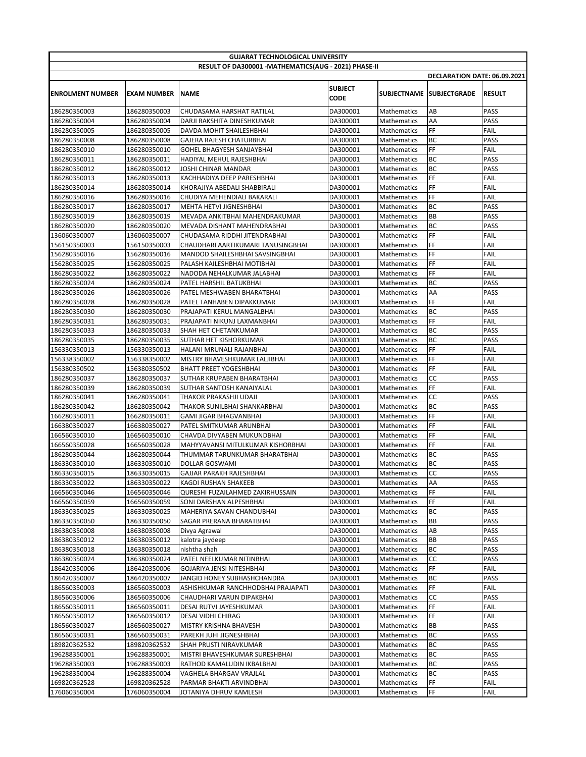| <b>GUJARAT TECHNOLOGICAL UNIVERSITY</b>              |                              |                                                       |                        |                            |                              |                     |  |  |  |  |
|------------------------------------------------------|------------------------------|-------------------------------------------------------|------------------------|----------------------------|------------------------------|---------------------|--|--|--|--|
| RESULT OF DA300001 -MATHEMATICS(AUG - 2021) PHASE-II |                              |                                                       |                        |                            |                              |                     |  |  |  |  |
|                                                      |                              |                                                       |                        |                            | DECLARATION DATE: 06.09.2021 |                     |  |  |  |  |
| <b>ENROLMENT NUMBER</b>                              | <b>EXAM NUMBER</b>           | <b>NAME</b>                                           | <b>SUBJECT</b><br>CODE |                            | SUBJECTNAME SUBJECTGRADE     | <b>RESULT</b>       |  |  |  |  |
| 186280350003                                         | 186280350003                 | CHUDASAMA HARSHAT RATILAL                             | DA300001               | Mathematics                | AB                           | <b>PASS</b>         |  |  |  |  |
| 186280350004                                         | 186280350004                 | DARJI RAKSHITA DINESHKUMAR                            | DA300001               | Mathematics                | AA                           | <b>PASS</b>         |  |  |  |  |
| 186280350005                                         | 186280350005                 | DAVDA MOHIT SHAILESHBHAI                              | DA300001               | Mathematics                | FF                           | FAIL                |  |  |  |  |
| 186280350008                                         | 186280350008                 | GAJERA RAJESH CHATURBHAI                              | DA300001               | Mathematics                | ВC                           | <b>PASS</b>         |  |  |  |  |
| 186280350010                                         | 186280350010                 | GOHEL BHAGYESH SANJAYBHAI                             | DA300001               | Mathematics                | FF                           | FAIL                |  |  |  |  |
| 186280350011                                         | 186280350011                 | <b>HADIYAL MEHUL RAJESHBHAI</b>                       | DA300001               | Mathematics                | BC                           | PASS                |  |  |  |  |
| 186280350012                                         | 186280350012                 | JOSHI CHINAR MANDAR                                   | DA300001               | Mathematics                | BC                           | <b>PASS</b>         |  |  |  |  |
| 186280350013                                         | 186280350013                 | KACHHADIYA DEEP PARESHBHAI                            | DA300001               | Mathematics                | FF                           | FAIL                |  |  |  |  |
| 186280350014                                         | 186280350014                 | KHORAJIYA ABEDALI SHABBIRALI                          | DA300001               | Mathematics                | FF                           | FAIL                |  |  |  |  |
| 186280350016                                         | 186280350016                 | CHUDIYA MEHENDIALI BAKARALI                           | DA300001               | Mathematics                | FF                           | FAIL                |  |  |  |  |
| 186280350017                                         | 186280350017                 | MEHTA HETVI JIGNESHBHAI                               | DA300001               | Mathematics                | ВC                           | PASS                |  |  |  |  |
| 186280350019                                         | 186280350019                 | MEVADA ANKITBHAI MAHENDRAKUMAR                        | DA300001               | Mathematics                | BB                           | <b>PASS</b>         |  |  |  |  |
| 186280350020                                         | 186280350020                 | MEVADA DISHANT MAHENDRABHAI                           | DA300001               | Mathematics                | BC                           | <b>PASS</b>         |  |  |  |  |
| 136060350007                                         | 136060350007                 | CHUDASAMA RIDDHI JITENDRABHAI                         | DA300001               | Mathematics                | FF                           | FAIL                |  |  |  |  |
| 156150350003                                         | 156150350003                 | CHAUDHARI AARTIKUMARI TANUSINGBHAI                    | DA300001               | Mathematics                | FF                           | FAIL                |  |  |  |  |
| 156280350016                                         | 156280350016                 | MANDOD SHAILESHBHAI SAVSINGBHAI                       | DA300001               | Mathematics                | FF                           | FAIL                |  |  |  |  |
| 156280350025                                         | 156280350025                 | PALASH KAILESHBHAI MOTIBHAI                           | DA300001               | Mathematics                | FF                           | FAIL                |  |  |  |  |
| 186280350022                                         | 186280350022<br>186280350024 | NADODA NEHALKUMAR JALABHAI                            | DA300001               | Mathematics                | FF<br>BC                     | FAIL                |  |  |  |  |
| 186280350024<br>186280350026                         | 186280350026                 | PATEL HARSHIL BATUKBHAI<br>PATEL MESHWABEN BHARATBHAI | DA300001               | Mathematics<br>Mathematics | AA                           | PASS<br><b>PASS</b> |  |  |  |  |
| 186280350028                                         | 186280350028                 | PATEL TANHABEN DIPAKKUMAR                             | DA300001<br>DA300001   | Mathematics                | FF                           | FAIL                |  |  |  |  |
| 186280350030                                         | 186280350030                 | PRAJAPATI KERUL MANGALBHAI                            | DA300001               | Mathematics                | ВC                           | PASS                |  |  |  |  |
| 186280350031                                         | 186280350031                 | PRAJAPATI NIKUNJ LAXMANBHAI                           | DA300001               | Mathematics                | FF                           | FAIL                |  |  |  |  |
| 186280350033                                         | 186280350033                 | SHAH HET CHETANKUMAR                                  | DA300001               | Mathematics                | ВC                           | <b>PASS</b>         |  |  |  |  |
| 186280350035                                         | 186280350035                 | SUTHAR HET KISHORKUMAR                                | DA300001               | Mathematics                | BC                           | <b>PASS</b>         |  |  |  |  |
| 156330350013                                         | 156330350013                 | HALANI MRUNALI RAJANBHAI                              | DA300001               | Mathematics                | FF                           | FAIL                |  |  |  |  |
| 156338350002                                         | 156338350002                 | MISTRY BHAVESHKUMAR LALJIBHAI                         | DA300001               | Mathematics                | FF                           | FAIL                |  |  |  |  |
| 156380350502                                         | 156380350502                 | <b>BHATT PREET YOGESHBHAI</b>                         | DA300001               | Mathematics                | FF                           | FAIL                |  |  |  |  |
| 186280350037                                         | 186280350037                 | SUTHAR KRUPABEN BHARATBHAI                            | DA300001               | Mathematics                | СC                           | <b>PASS</b>         |  |  |  |  |
| 186280350039                                         | 186280350039                 | SUTHAR SANTOSH KANAIYALAL                             | DA300001               | Mathematics                | FF                           | FAIL                |  |  |  |  |
| 186280350041                                         | 186280350041                 | THAKOR PRAKASHJI UDAJI                                | DA300001               | Mathematics                | СC                           | <b>PASS</b>         |  |  |  |  |
| 186280350042                                         | 186280350042                 | THAKOR SUNILBHAI SHANKARBHAI                          | DA300001               | Mathematics                | ВC                           | <b>PASS</b>         |  |  |  |  |
| 166280350011                                         | 166280350011                 | GAMI JIGAR BHAGVANBHAI                                | DA300001               | Mathematics                | FF                           | FAIL                |  |  |  |  |
| 166380350027                                         | 166380350027                 | PATEL SMITKUMAR ARUNBHAI                              | DA300001               | Mathematics                | FF                           | FAIL                |  |  |  |  |
| 166560350010                                         | 166560350010                 | CHAVDA DIVYABEN MUKUNDBHAI                            | DA300001               | Mathematics                | FF                           | FAIL                |  |  |  |  |
| 166560350028                                         | 166560350028                 | MAHYYAVANSI MITULKUMAR KISHORBHAI                     | DA300001               | Mathematics                | FF                           | FAIL                |  |  |  |  |
| 186280350044                                         | 186280350044                 | THUMMAR TARUNKUMAR BHARATBHAI                         | DA300001               | Mathematics                | BC                           | <b>PASS</b>         |  |  |  |  |
| 186330350010                                         | 186330350010                 | DOLLAR GOSWAMI                                        | DA300001               | Mathematics                | BC                           | <b>PASS</b>         |  |  |  |  |
| 186330350015                                         | 186330350015                 | GAJJAR PARAKH RAJESHBHAI                              | DA300001               | Mathematics                | СC                           | <b>PASS</b>         |  |  |  |  |
| 186330350022                                         | 186330350022                 | KAGDI RUSHAN SHAKEEB                                  | DA300001               | Mathematics                | AA                           | <b>PASS</b>         |  |  |  |  |
| 166560350046                                         | 166560350046                 | QURESHI FUZAILAHMED ZAKIRHUSSAIN                      | DA300001               | Mathematics                | FF                           | FAIL                |  |  |  |  |
| 166560350059                                         | 166560350059                 | SONI DARSHAN ALPESHBHAI                               | DA300001               | Mathematics                | FF                           | <b>FAIL</b>         |  |  |  |  |
| 186330350025                                         | 186330350025                 | MAHERIYA SAVAN CHANDUBHAI                             | DA300001               | Mathematics                | ВC                           | PASS                |  |  |  |  |
| 186330350050<br>186380350008                         | 186330350050<br>186380350008 | SAGAR PRERANA BHARATBHAI<br>Divya Agrawal             | DA300001<br>DA300001   | Mathematics<br>Mathematics | ВB<br>AB                     | PASS<br><b>PASS</b> |  |  |  |  |
| 186380350012                                         | 186380350012                 | kalotra jaydeep                                       | DA300001               | Mathematics                | BB                           | PASS                |  |  |  |  |
| 186380350018                                         | 186380350018                 | nishtha shah                                          | DA300001               | Mathematics                | ВC                           | PASS                |  |  |  |  |
| 186380350024                                         | 186380350024                 | PATEL NEELKUMAR NITINBHAI                             | DA300001               | Mathematics                | СC                           | PASS                |  |  |  |  |
| 186420350006                                         | 186420350006                 | GOJARIYA JENSI NITESHBHAI                             | DA300001               | Mathematics                | FF                           | FAIL                |  |  |  |  |
| 186420350007                                         | 186420350007                 | JANGID HONEY SUBHASHCHANDRA                           | DA300001               | Mathematics                | ВC                           | PASS                |  |  |  |  |
| 186560350003                                         | 186560350003                 | ASHISHKUMAR RANCHHODBHAI PRAJAPATI                    | DA300001               | Mathematics                | FF                           | <b>FAIL</b>         |  |  |  |  |
| 186560350006                                         | 186560350006                 | CHAUDHARI VARUN DIPAKBHAI                             | DA300001               | Mathematics                | СC                           | PASS                |  |  |  |  |
| 186560350011                                         | 186560350011                 | DESAI RUTVI JAYESHKUMAR                               | DA300001               | Mathematics                | FF                           | <b>FAIL</b>         |  |  |  |  |
| 186560350012                                         | 186560350012                 | DESAI VIDHI CHIRAG                                    | DA300001               | <b>Mathematics</b>         | FF                           | <b>FAIL</b>         |  |  |  |  |
| 186560350027                                         | 186560350027                 | MISTRY KRISHNA BHAVESH                                | DA300001               | Mathematics                | BB                           | PASS                |  |  |  |  |
| 186560350031                                         | 186560350031                 | PAREKH JUHI JIGNESHBHAI                               | DA300001               | Mathematics                | ВC                           | PASS                |  |  |  |  |
| 189820362532                                         | 189820362532                 | SHAH PRUSTI NIRAVKUMAR                                | DA300001               | Mathematics                | BC                           | PASS                |  |  |  |  |
| 196288350001                                         | 196288350001                 | MISTRI BHAVESHKUMAR SURESHBHAI                        | DA300001               | Mathematics                | ВC                           | PASS                |  |  |  |  |
| 196288350003                                         | 196288350003                 | RATHOD KAMALUDIN IKBALBHAI                            | DA300001               | Mathematics                | BC                           | <b>PASS</b>         |  |  |  |  |
| 196288350004                                         | 196288350004                 | VAGHELA BHARGAV VRAJLAL                               | DA300001               | Mathematics                | ВC                           | PASS                |  |  |  |  |
| 169820362528                                         | 169820362528                 | PARMAR BHAKTI ARVINDBHAI                              | DA300001               | Mathematics                | FF                           | FAIL                |  |  |  |  |
| 176060350004                                         | 176060350004                 | JOTANIYA DHRUV KAMLESH                                | DA300001               | Mathematics                | FF                           | FAIL                |  |  |  |  |